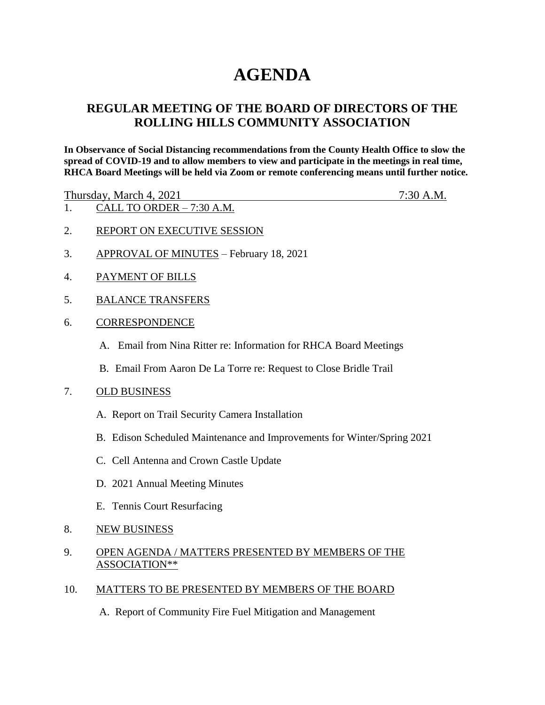# **AGENDA**

## **REGULAR MEETING OF THE BOARD OF DIRECTORS OF THE ROLLING HILLS COMMUNITY ASSOCIATION**

**In Observance of Social Distancing recommendations from the County Health Office to slow the spread of COVID-19 and to allow members to view and participate in the meetings in real time, RHCA Board Meetings will be held via Zoom or remote conferencing means until further notice.** 

Thursday, March 4, 2021 7:30 A.M.

- 1. CALL TO ORDER 7:30 A.M.
- 2. REPORT ON EXECUTIVE SESSION
- 3. APPROVAL OF MINUTES February 18, 2021
- 4. PAYMENT OF BILLS
- 5. BALANCE TRANSFERS
- 6. CORRESPONDENCE
	- A. Email from Nina Ritter re: Information for RHCA Board Meetings
	- B. Email From Aaron De La Torre re: Request to Close Bridle Trail
- 7. OLD BUSINESS
	- A. Report on Trail Security Camera Installation
	- B. Edison Scheduled Maintenance and Improvements for Winter/Spring 2021
	- C. Cell Antenna and Crown Castle Update
	- D. 2021 Annual Meeting Minutes
	- E. Tennis Court Resurfacing
- 8. NEW BUSINESS
- 9. OPEN AGENDA / MATTERS PRESENTED BY MEMBERS OF THE ASSOCIATION\*\*
- 10. MATTERS TO BE PRESENTED BY MEMBERS OF THE BOARD
	- A. Report of Community Fire Fuel Mitigation and Management